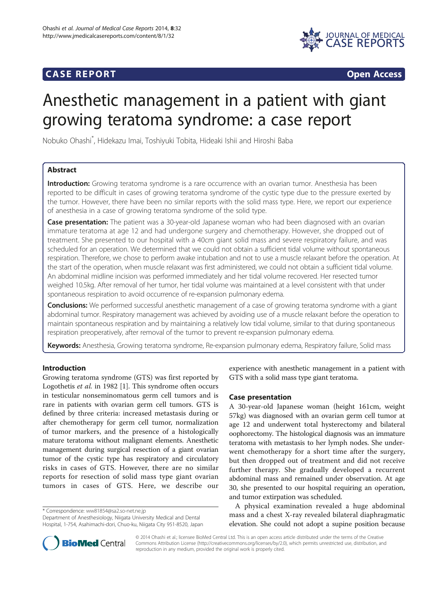## **CASE REPORT CASE REPORT**



# Anesthetic management in a patient with giant growing teratoma syndrome: a case report

Nobuko Ohashi\* , Hidekazu Imai, Toshiyuki Tobita, Hideaki Ishii and Hiroshi Baba

## Abstract

Introduction: Growing teratoma syndrome is a rare occurrence with an ovarian tumor. Anesthesia has been reported to be difficult in cases of growing teratoma syndrome of the cystic type due to the pressure exerted by the tumor. However, there have been no similar reports with the solid mass type. Here, we report our experience of anesthesia in a case of growing teratoma syndrome of the solid type.

Case presentation: The patient was a 30-year-old Japanese woman who had been diagnosed with an ovarian immature teratoma at age 12 and had undergone surgery and chemotherapy. However, she dropped out of treatment. She presented to our hospital with a 40cm giant solid mass and severe respiratory failure, and was scheduled for an operation. We determined that we could not obtain a sufficient tidal volume without spontaneous respiration. Therefore, we chose to perform awake intubation and not to use a muscle relaxant before the operation. At the start of the operation, when muscle relaxant was first administered, we could not obtain a sufficient tidal volume. An abdominal midline incision was performed immediately and her tidal volume recovered. Her resected tumor weighed 10.5kg. After removal of her tumor, her tidal volume was maintained at a level consistent with that under spontaneous respiration to avoid occurrence of re-expansion pulmonary edema.

**Conclusions:** We performed successful anesthetic management of a case of growing teratoma syndrome with a giant abdominal tumor. Respiratory management was achieved by avoiding use of a muscle relaxant before the operation to maintain spontaneous respiration and by maintaining a relatively low tidal volume, similar to that during spontaneous respiration preoperatively, after removal of the tumor to prevent re-expansion pulmonary edema.

Keywords: Anesthesia, Growing teratoma syndrome, Re-expansion pulmonary edema, Respiratory failure, Solid mass

## Introduction

Growing teratoma syndrome (GTS) was first reported by Logothetis et al. in 1982 [[1](#page-3-0)]. This syndrome often occurs in testicular nonseminomatous germ cell tumors and is rare in patients with ovarian germ cell tumors. GTS is defined by three criteria: increased metastasis during or after chemotherapy for germ cell tumor, normalization of tumor markers, and the presence of a histologically mature teratoma without malignant elements. Anesthetic management during surgical resection of a giant ovarian tumor of the cystic type has respiratory and circulatory risks in cases of GTS. However, there are no similar reports for resection of solid mass type giant ovarian tumors in cases of GTS. Here, we describe our

\* Correspondence: [ww81854@sa2.so-net.ne.jp](mailto:ww81854@sa2.so-net.ne.jp)

Department of Anesthesiology, Niigata University Medical and Dental Hospital, 1-754, Asahimachi-dori, Chuo-ku, Niigata City 951-8520, Japan



### Case presentation

A 30-year-old Japanese woman (height 161cm, weight 57kg) was diagnosed with an ovarian germ cell tumor at age 12 and underwent total hysterectomy and bilateral oophorectomy. The histological diagnosis was an immature teratoma with metastasis to her lymph nodes. She underwent chemotherapy for a short time after the surgery, but then dropped out of treatment and did not receive further therapy. She gradually developed a recurrent abdominal mass and remained under observation. At age 30, she presented to our hospital requiring an operation, and tumor extirpation was scheduled.

A physical examination revealed a huge abdominal mass and a chest X-ray revealed bilateral diaphragmatic elevation. She could not adopt a supine position because



© 2014 Ohashi et al.; licensee BioMed Central Ltd. This is an open access article distributed under the terms of the Creative Commons Attribution License [\(http://creativecommons.org/licenses/by/2.0\)](http://creativecommons.org/licenses/by/2.0), which permits unrestricted use, distribution, and reproduction in any medium, provided the original work is properly cited.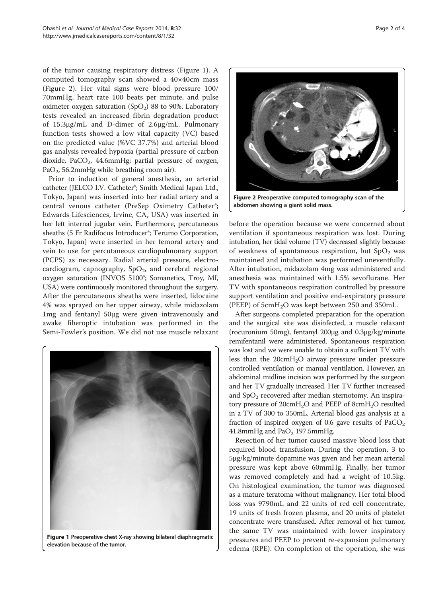of the tumor causing respiratory distress (Figure 1). A computed tomography scan showed a 40×40cm mass (Figure 2). Her vital signs were blood pressure 100/ 70mmHg, heart rate 100 beats per minute, and pulse oximeter oxygen saturation  $(SpO<sub>2</sub>)$  88 to 90%. Laboratory tests revealed an increased fibrin degradation product of 15.3μg/mL and D-dimer of 2.6μg/mL. Pulmonary function tests showed a low vital capacity (VC) based on the predicted value (%VC 37.7%) and arterial blood gas analysis revealed hypoxia (partial pressure of carbon dioxide, PaCO<sub>2</sub>, 44.6mmHg; partial pressure of oxygen, PaO<sub>2</sub>, 56.2mmHg while breathing room air).

Prior to induction of general anesthesia, an arterial catheter (JELCO I.V. Catheter®; Smith Medical Japan Ltd., Tokyo, Japan) was inserted into her radial artery and a central venous catheter (PreSep Oximetry Catheter®; Edwards Lifesciences, Irvine, CA, USA) was inserted in her left internal jugular vein. Furthermore, percutaneous sheaths (5 Fr Radifocus Introducer®; Terumo Corporation, Tokyo, Japan) were inserted in her femoral artery and vein to use for percutaneous cardiopulmonary support (PCPS) as necessary. Radial arterial pressure, electrocardiogram, capnography,  $SpO<sub>2</sub>$ , and cerebral regional oxygen saturation (INVOS 5100®; Somanetics, Troy, MI, USA) were continuously monitored throughout the surgery. After the percutaneous sheaths were inserted, lidocaine 4% was sprayed on her upper airway, while midazolam 1mg and fentanyl 50μg were given intravenously and awake fiberoptic intubation was performed in the Semi-Fowler's position. We did not use muscle relaxant



Figure 1 Preoperative chest X-ray showing bilateral diaphragmatic elevation because of the tumor.



before the operation because we were concerned about ventilation if spontaneous respiration was lost. During intubation, her tidal volume (TV) decreased slightly because of weakness of spontaneous respiration, but  $SpO<sub>2</sub>$  was maintained and intubation was performed uneventfully. After intubation, midazolam 4mg was administered and anesthesia was maintained with 1.5% sevoflurane. Her TV with spontaneous respiration controlled by pressure support ventilation and positive end-expiratory pressure (PEEP) of  $5cmH<sub>2</sub>O$  was kept between 250 and 350mL.

After surgeons completed preparation for the operation and the surgical site was disinfected, a muscle relaxant (rocuronium 50mg), fentanyl 200μg and 0.3μg/kg/minute remifentanil were administered. Spontaneous respiration was lost and we were unable to obtain a sufficient TV with less than the 20cmH2O airway pressure under pressure controlled ventilation or manual ventilation. However, an abdominal midline incision was performed by the surgeon and her TV gradually increased. Her TV further increased and  $SpO<sub>2</sub>$  recovered after median sternotomy. An inspiratory pressure of 20cmH<sub>2</sub>O and PEEP of 8cmH<sub>2</sub>O resulted in a TV of 300 to 350mL. Arterial blood gas analysis at a fraction of inspired oxygen of 0.6 gave results of  $PaCO<sub>2</sub>$ 41.8mmHg and  $PaO<sub>2</sub>$  197.5mmHg.

Resection of her tumor caused massive blood loss that required blood transfusion. During the operation, 3 to 5μg/kg/minute dopamine was given and her mean arterial pressure was kept above 60mmHg. Finally, her tumor was removed completely and had a weight of 10.5kg. On histological examination, the tumor was diagnosed as a mature teratoma without malignancy. Her total blood loss was 9790mL and 22 units of red cell concentrate, 19 units of fresh frozen plasma, and 20 units of platelet concentrate were transfused. After removal of her tumor, the same TV was maintained with lower inspiratory pressures and PEEP to prevent re-expansion pulmonary edema (RPE). On completion of the operation, she was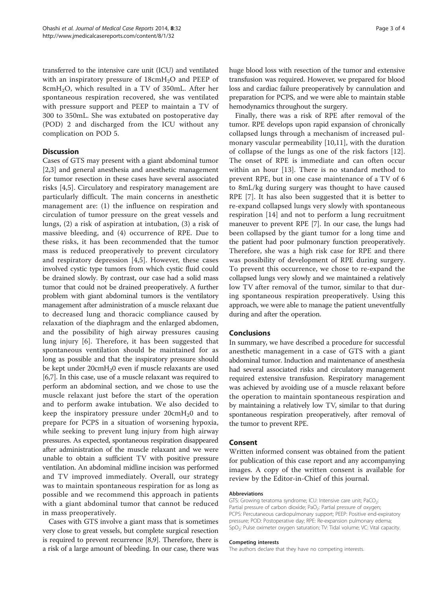transferred to the intensive care unit (ICU) and ventilated with an inspiratory pressure of 18cmH<sub>2</sub>O and PEEP of 8cmH2O, which resulted in a TV of 350mL. After her spontaneous respiration recovered, she was ventilated with pressure support and PEEP to maintain a TV of 300 to 350mL. She was extubated on postoperative day (POD) 2 and discharged from the ICU without any complication on POD 5.

## **Discussion**

Cases of GTS may present with a giant abdominal tumor [[2,3\]](#page-3-0) and general anesthesia and anesthetic management for tumor resection in these cases have several associated risks [[4,5\]](#page-3-0). Circulatory and respiratory management are particularly difficult. The main concerns in anesthetic management are: (1) the influence on respiration and circulation of tumor pressure on the great vessels and lungs, (2) a risk of aspiration at intubation, (3) a risk of massive bleeding, and (4) occurrence of RPE. Due to these risks, it has been recommended that the tumor mass is reduced preoperatively to prevent circulatory and respiratory depression [[4,5](#page-3-0)]. However, these cases involved cystic type tumors from which cystic fluid could be drained slowly. By contrast, our case had a solid mass tumor that could not be drained preoperatively. A further problem with giant abdominal tumors is the ventilatory management after administration of a muscle relaxant due to decreased lung and thoracic compliance caused by relaxation of the diaphragm and the enlarged abdomen, and the possibility of high airway pressures causing lung injury [\[6](#page-3-0)]. Therefore, it has been suggested that spontaneous ventilation should be maintained for as long as possible and that the inspiratory pressure should be kept under 20cmH<sub>2</sub>0 even if muscle relaxants are used [[6,7](#page-3-0)]. In this case, use of a muscle relaxant was required to perform an abdominal section, and we chose to use the muscle relaxant just before the start of the operation and to perform awake intubation. We also decided to keep the inspiratory pressure under  $20 \text{cm}H_20$  and to prepare for PCPS in a situation of worsening hypoxia, while seeking to prevent lung injury from high airway pressures. As expected, spontaneous respiration disappeared after administration of the muscle relaxant and we were unable to obtain a sufficient TV with positive pressure ventilation. An abdominal midline incision was performed and TV improved immediately. Overall, our strategy was to maintain spontaneous respiration for as long as possible and we recommend this approach in patients with a giant abdominal tumor that cannot be reduced in mass preoperatively.

Cases with GTS involve a giant mass that is sometimes very close to great vessels, but complete surgical resection is required to prevent recurrence [\[8,9](#page-3-0)]. Therefore, there is a risk of a large amount of bleeding. In our case, there was

huge blood loss with resection of the tumor and extensive transfusion was required. However, we prepared for blood loss and cardiac failure preoperatively by cannulation and preparation for PCPS, and we were able to maintain stable hemodynamics throughout the surgery.

Finally, there was a risk of RPE after removal of the tumor. RPE develops upon rapid expansion of chronically collapsed lungs through a mechanism of increased pulmonary vascular permeability [[10,11\]](#page-3-0), with the duration of collapse of the lungs as one of the risk factors [\[12](#page-3-0)]. The onset of RPE is immediate and can often occur within an hour [[13\]](#page-3-0). There is no standard method to prevent RPE, but in one case maintenance of a TV of 6 to 8mL/kg during surgery was thought to have caused RPE [\[7](#page-3-0)]. It has also been suggested that it is better to re-expand collapsed lungs very slowly with spontaneous respiration [[14\]](#page-3-0) and not to perform a lung recruitment maneuver to prevent RPE [\[7\]](#page-3-0). In our case, the lungs had been collapsed by the giant tumor for a long time and the patient had poor pulmonary function preoperatively. Therefore, she was a high risk case for RPE and there was possibility of development of RPE during surgery. To prevent this occurrence, we chose to re-expand the collapsed lungs very slowly and we maintained a relatively low TV after removal of the tumor, similar to that during spontaneous respiration preoperatively. Using this approach, we were able to manage the patient uneventfully during and after the operation.

#### Conclusions

In summary, we have described a procedure for successful anesthetic management in a case of GTS with a giant abdominal tumor. Induction and maintenance of anesthesia had several associated risks and circulatory management required extensive transfusion. Respiratory management was achieved by avoiding use of a muscle relaxant before the operation to maintain spontaneous respiration and by maintaining a relatively low TV, similar to that during spontaneous respiration preoperatively, after removal of the tumor to prevent RPE.

#### Consent

Written informed consent was obtained from the patient for publication of this case report and any accompanying images. A copy of the written consent is available for review by the Editor-in-Chief of this journal.

#### Abbreviations

GTS: Growing teratoma syndrome; ICU: Intensive care unit; PaCO<sub>2</sub>: Partial pressure of carbon dioxide; PaO<sub>2</sub>: Partial pressure of oxygen; PCPS: Percutaneous cardiopulmonary support; PEEP: Positive end-expiratory pressure; POD: Postoperative day; RPE: Re-expansion pulmonary edema; SpO<sub>2</sub>: Pulse oximeter oxygen saturation; TV: Tidal volume; VC: Vital capacity.

#### Competing interests

The authors declare that they have no competing interests.